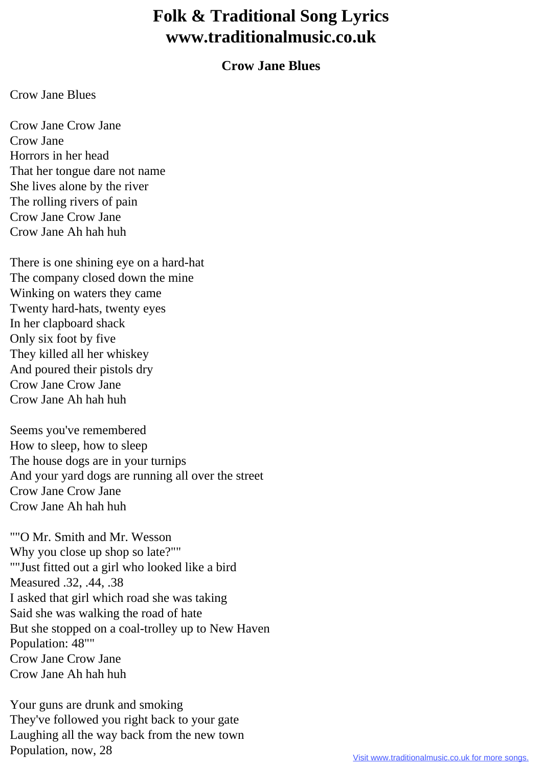## **Folk & Traditional Song Lyrics www.traditionalmusic.co.uk**

## **Crow Jane Blues**

## Crow Jane Blues

Crow Jane Crow Jane Crow Jane Horrors in her head That her tongue dare not name She lives alone by the river The rolling rivers of pain Crow Jane Crow Jane Crow Jane Ah hah huh

There is one shining eye on a hard-hat The company closed down the mine Winking on waters they came Twenty hard-hats, twenty eyes In her clapboard shack Only six foot by five They killed all her whiskey And poured their pistols dry Crow Jane Crow Jane Crow Jane Ah hah huh

Seems you've remembered How to sleep, how to sleep The house dogs are in your turnips And your yard dogs are running all over the street Crow Jane Crow Jane Crow Jane Ah hah huh

""O Mr. Smith and Mr. Wesson Why you close up shop so late?"" ""Just fitted out a girl who looked like a bird Measured .32, .44, .38 I asked that girl which road she was taking Said she was walking the road of hate But she stopped on a coal-trolley up to New Haven Population: 48"" Crow Jane Crow Jane Crow Jane Ah hah huh

Your guns are drunk and smoking They've followed you right back to your gate Laughing all the way back from the new town Population, now, 28